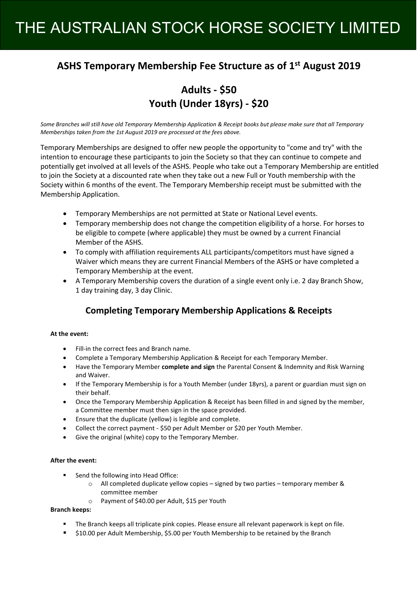## THE AUSTRALIAN STOCK HORSE SOCIETY LIMITED

## **ASHS Temporary Membership Fee Structure as of 1st August 2019**

## **Adults - \$50 Youth (Under 18yrs) - \$20**

*Some Branches will still have old Temporary Membership Application & Receipt books but please make sure that all Temporary Memberships taken from the 1st August 2019 are processed at the fees above.*

Temporary Memberships are designed to offer new people the opportunity to "come and try" with the intention to encourage these participants to join the Society so that they can continue to compete and potentially get involved at all levels of the ASHS. People who take out a Temporary Membership are entitled to join the Society at a discounted rate when they take out a new Full or Youth membership with the Society within 6 months of the event. The Temporary Membership receipt must be submitted with the Membership Application.

- **•** Temporary Memberships are not permitted at State or National Level events.
- Temporary membership does not change the competition eligibility of a horse. For horses to be eligible to compete (where applicable) they must be owned by a current Financial Member of the ASHS.
- To comply with affiliation requirements ALL participants/competitors must have signed a Waiver which means they are current Financial Members of the ASHS or have completed a Temporary Membership at the event.
- A Temporary Membership covers the duration of a single event only i.e. 2 day Branch Show. 1 day training day, 3 day Clinic.

### **Completing Temporary Membership Applications & Receipts**

#### **At the event:**

- Fill-in the correct fees and Branch name.
- Complete a Temporary Membership Application & Receipt for each Temporary Member.
- x Have the Temporary Member **complete and sign** the Parental Consent & Indemnity and Risk Warning and Waiver.
- If the Temporary Membership is for a Youth Member (under 18yrs), a parent or guardian must sign on their behalf.
- Once the Temporary Membership Application & Receipt has been filled in and signed by the member, a Committee member must then sign in the space provided.
- $\bullet$  Ensure that the duplicate (yellow) is legible and complete.
- Collect the correct payment \$50 per Adult Member or \$20 per Youth Member.
- Give the original (white) copy to the Temporary Member.

#### **After the event:**

- Send the following into Head Office:
	- $\circ$  All completed duplicate yellow copies signed by two parties temporary member & committee member
	- o Payment of \$40.00 per Adult, \$15 per Youth

#### **Branch keeps:**

- The Branch keeps all triplicate pink copies. Please ensure all relevant paperwork is kept on file.
- \$10.00 per Adult Membership, \$5.00 per Youth Membership to be retained by the Branch